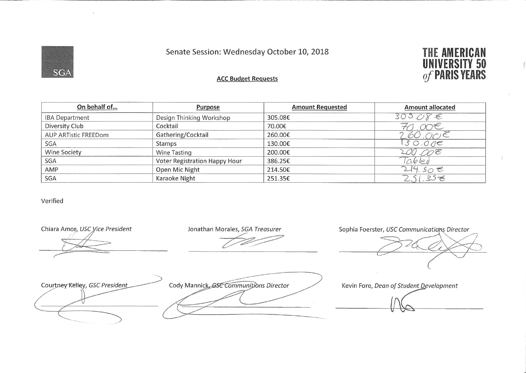Senate Session: Wednesday October 10, 2018



## **THE AMERICAN UNIVERSITY 50** of PARIS YEARS

## **ACC Budget Requests**

| On behalf of          | <b>Purpose</b>                | <b>Amount Requested</b> | <b>Amount allocated</b>     |
|-----------------------|-------------------------------|-------------------------|-----------------------------|
| <b>IBA Department</b> | Design Thinking Workshop      | 305.08€                 | 303.08E                     |
| Diversity Club        | Cocktail                      | 70.00€                  | ' 00€                       |
| AUP ARTistic FREEDom  | Gathering/Cocktail            | 260.00€                 | $SO$ . $O$ C $)$ $\epsilon$ |
| SGA                   | Stamps                        | 130.00€                 | 30.005                      |
| Wine Society          | Wine Tasting                  | 200.00€                 | 200.008                     |
| SGA                   | Voter Registration Happy Hour | 386.25€                 | Tabled                      |
| AMP                   | Open Mic Night                | 214.50€                 | 24.50e                      |
| <b>SGA</b>            | Karaoke Night                 | 251.35€                 | 2.51.358                    |

Verified

Chiara Amon, USC Vice President Jonathan Morales, SGA Treasurer Sophia Foerster, USC Communications Director Cody Mannick GSC Communitions Director Courtney Kelley, GSC President Kevin Fore, Dean of Student Development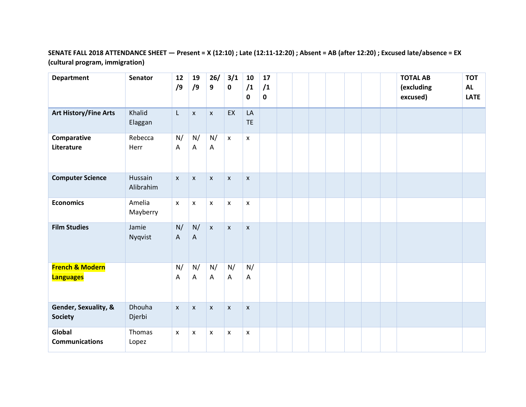## **SENATE FALL 2018 ATTENDANCE SHEET — Present = X (12:10) ; Late (12:11-12:20) ; Absent = AB (after 12:20) ; Excused late/absence = EX (cultural program, immigration)**

| <b>Department</b>                              | <b>Senator</b>       | 12<br>/9                  | 19<br>/9                        | 26/<br>9           | 3/1<br>$\mathbf 0$ | 10<br>/1<br>0      | 17<br>/1<br>$\mathbf 0$ |  |  |  | <b>TOTAL AB</b><br>(excluding<br>excused) | <b>TOT</b><br><b>AL</b><br><b>LATE</b> |
|------------------------------------------------|----------------------|---------------------------|---------------------------------|--------------------|--------------------|--------------------|-------------------------|--|--|--|-------------------------------------------|----------------------------------------|
| <b>Art History/Fine Arts</b>                   | Khalid<br>Elaggan    | $\mathsf{L}$              | $\pmb{\mathsf{X}}$              | $\pmb{\mathsf{X}}$ | EX                 | LA<br><b>TE</b>    |                         |  |  |  |                                           |                                        |
| Comparative<br>Literature                      | Rebecca<br>Herr      | N/<br>Α                   | N/<br>A                         | N/<br>A            | $\mathsf X$        | $\mathsf{x}$       |                         |  |  |  |                                           |                                        |
| <b>Computer Science</b>                        | Hussain<br>Alibrahim | $\boldsymbol{\mathsf{x}}$ | $\mathsf{x}$                    | X                  | $\mathsf{x}$       | $\mathsf{x}$       |                         |  |  |  |                                           |                                        |
| <b>Economics</b>                               | Amelia<br>Mayberry   | $\pmb{\chi}$              | $\mathsf{x}$                    | X                  | $\pmb{\times}$     | X                  |                         |  |  |  |                                           |                                        |
| <b>Film Studies</b>                            | Jamie<br>Nyqvist     | N/<br>A                   | N/<br>$\boldsymbol{\mathsf{A}}$ | $\mathsf{x}$       | $\mathsf{x}$       | $\pmb{\mathsf{x}}$ |                         |  |  |  |                                           |                                        |
| <b>French &amp; Modern</b><br><b>Languages</b> |                      | N/<br>A                   | N/<br>A                         | N/<br>A            | N/<br>$\mathsf{A}$ | N/<br>A            |                         |  |  |  |                                           |                                        |
| Gender, Sexuality, &<br><b>Society</b>         | Dhouha<br>Djerbi     | $\mathsf{x}$              | $\pmb{\times}$                  | $\mathsf{x}$       | $\pmb{\times}$     | $\pmb{\times}$     |                         |  |  |  |                                           |                                        |
| Global<br><b>Communications</b>                | Thomas<br>Lopez      | $\boldsymbol{\mathsf{x}}$ | X                               | X                  | $\pmb{\mathsf{x}}$ | X                  |                         |  |  |  |                                           |                                        |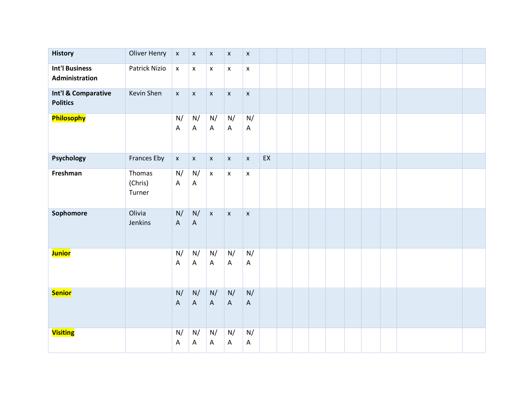| <b>History</b>                          | <b>Oliver Henry</b>         | $\pmb{\mathsf{x}}$                                     | $\boldsymbol{\mathsf{X}}$                              | $\pmb{\mathsf{x}}$ | $\boldsymbol{\mathsf{X}}$ | $\pmb{\mathsf{x}}$                                     |    |  |  |  |  |  |
|-----------------------------------------|-----------------------------|--------------------------------------------------------|--------------------------------------------------------|--------------------|---------------------------|--------------------------------------------------------|----|--|--|--|--|--|
| <b>Int'l Business</b><br>Administration | Patrick Nizio               | $\pmb{\mathsf{x}}$                                     | $\pmb{\mathsf{X}}$                                     | $\pmb{\mathsf{X}}$ | $\mathsf X$               | $\pmb{\mathsf{x}}$                                     |    |  |  |  |  |  |
| Int'l & Comparative<br><b>Politics</b>  | Kevin Shen                  | $\bar{\mathbf{x}}$                                     | $\boldsymbol{\mathsf{X}}$                              | $\mathsf X$        | $\boldsymbol{\mathsf{X}}$ | $\pmb{\mathsf{x}}$                                     |    |  |  |  |  |  |
| Philosophy                              |                             | N/<br>A                                                | N/<br>$\boldsymbol{\mathsf{A}}$                        | N/<br>A            | N/<br>$\mathsf A$         | $\mathsf{N}/% \mathsf{N}$<br>$\boldsymbol{\mathsf{A}}$ |    |  |  |  |  |  |
| Psychology                              | Frances Eby                 | $\mathsf X$                                            | $\pmb{\mathsf{X}}$                                     | $\pmb{\mathsf{X}}$ | $\mathsf X$               | $\pmb{\mathsf{x}}$                                     | EX |  |  |  |  |  |
| Freshman                                | Thomas<br>(Chris)<br>Turner | $\mathsf{N}/% \mathsf{N}$<br>$\boldsymbol{\mathsf{A}}$ | $\mathsf{N}/% \mathsf{N}$<br>$\boldsymbol{\mathsf{A}}$ | $\mathsf X$        | $\pmb{\mathsf{x}}$        | $\pmb{\mathsf{x}}$                                     |    |  |  |  |  |  |
| Sophomore                               | Olivia<br>Jenkins           | N/<br>$\overline{A}$                                   | N/<br>$\mathsf A$                                      | $\mathsf X$        | $\pmb{\mathsf{x}}$        | $\pmb{\mathsf{x}}$                                     |    |  |  |  |  |  |
| <b>Junior</b>                           |                             | N/<br>A                                                | N/<br>A                                                | N/<br>A            | N/<br>A                   | N/<br>$\mathsf A$                                      |    |  |  |  |  |  |
| <b>Senior</b>                           |                             | $\mathsf{N}/% \mathsf{N}$<br>$\boldsymbol{\mathsf{A}}$ | N/<br>$\mathsf A$                                      | N/<br>$\mathsf{A}$ | N/<br>$\mathsf A$         | N/<br>$\boldsymbol{\mathsf{A}}$                        |    |  |  |  |  |  |
| <b>Visiting</b>                         |                             | N/<br>A                                                | N/<br>A                                                | N/<br>A            | N/<br>$\mathsf{A}$        | N/<br>$\boldsymbol{\mathsf{A}}$                        |    |  |  |  |  |  |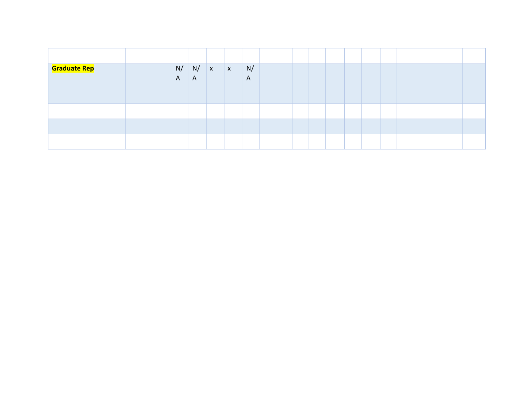| <b>Graduate Rep</b> | N/<br>$\mathsf{A}$ | N / x<br>$\overline{A}$ | X | N/<br>$\mathsf{A}$ |  |  |  |  |  |
|---------------------|--------------------|-------------------------|---|--------------------|--|--|--|--|--|
|                     |                    |                         |   |                    |  |  |  |  |  |
|                     |                    |                         |   |                    |  |  |  |  |  |
|                     |                    |                         |   |                    |  |  |  |  |  |
|                     |                    |                         |   |                    |  |  |  |  |  |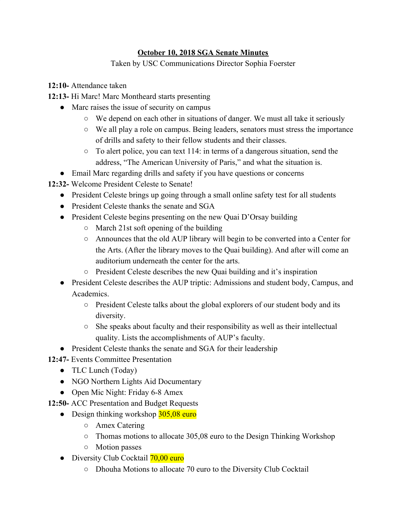## **October 10, 2018 SGA Senate Minutes**

Taken by USC Communications Director Sophia Foerster

- **12:10-** Attendance taken
- **12:13-** Hi Marc! Marc Montheard starts presenting
	- Marc raises the issue of security on campus
		- We depend on each other in situations of danger. We must all take it seriously
		- We all play a role on campus. Being leaders, senators must stress the importance of drills and safety to their fellow students and their classes.
		- $\circ$  To alert police, you can text 114: in terms of a dangerous situation, send the address, "The American University of Paris," and what the situation is.
	- Email Marc regarding drills and safety if you have questions or concerns
- **12:32-** Welcome President Celeste to Senate!
	- President Celeste brings up going through a small online safety test for all students
	- President Celeste thanks the senate and SGA
	- President Celeste begins presenting on the new Quai D'Orsay building
		- March 21st soft opening of the building
		- Announces that the old AUP library will begin to be converted into a Center for the Arts. (After the library moves to the Quai building). And after will come an auditorium underneath the center for the arts.
		- President Celeste describes the new Quai building and it's inspiration
	- President Celeste describes the AUP triptic: Admissions and student body, Campus, and Academics.
		- President Celeste talks about the global explorers of our student body and its diversity.
		- She speaks about faculty and their responsibility as well as their intellectual quality. Lists the accomplishments of AUP's faculty.
	- President Celeste thanks the senate and SGA for their leadership
- **12:47-** Events Committee Presentation
	- TLC Lunch (Today)
	- NGO Northern Lights Aid Documentary
	- Open Mic Night: Friday 6-8 Amex
- **12:50-** ACC Presentation and Budget Requests
	- Design thinking workshop  $305,08$  euro
		- Amex Catering
		- Thomas motions to allocate 305,08 euro to the Design Thinking Workshop
		- Motion passes
	- Diversity Club Cocktail **70,00 euro** 
		- Dhouha Motions to allocate 70 euro to the Diversity Club Cocktail